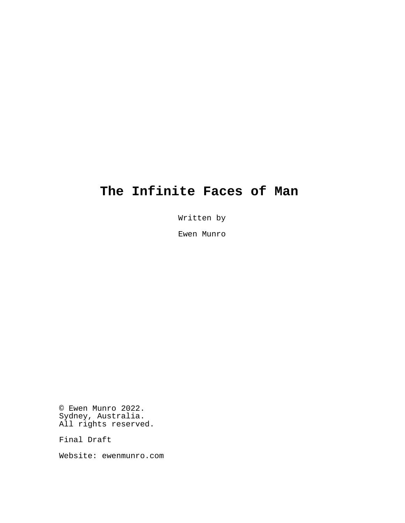# **The Infinite Faces of Man**

Written by

Ewen Munro

© Ewen Munro 2022. Sydney, Australia. All rights reserved.

Final Draft

Website: ewenmunro.com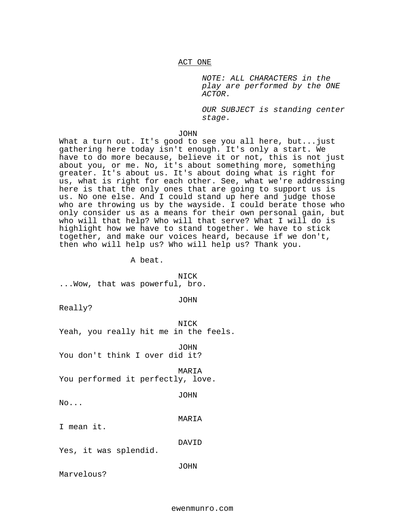NOTE: ALL CHARACTERS in the play are performed by the ONE ACTOR.

OUR SUBJECT is standing center stage.

JOHN

What a turn out. It's good to see you all here, but...just gathering here today isn't enough. It's only a start. We have to do more because, believe it or not, this is not just about you, or me. No, it's about something more, something greater. It's about us. It's about doing what is right for us, what is right for each other. See, what we're addressing here is that the only ones that are going to support us is us. No one else. And I could stand up here and judge those who are throwing us by the wayside. I could berate those who only consider us as a means for their own personal gain, but who will that help? Who will that serve? What I will do is highlight how we have to stand together. We have to stick together, and make our voices heard, because if we don't, then who will help us? Who will help us? Thank you.

A beat.

NICK ...Wow, that was powerful, bro.

JOHN

Really?

NICK Yeah, you really hit me in the feels.

JOHN You don't think I over did it?

MARIA You performed it perfectly, love.

JOHN

No...

MARIA

I mean it.

DAVID

Yes, it was splendid.

JOHN

Marvelous?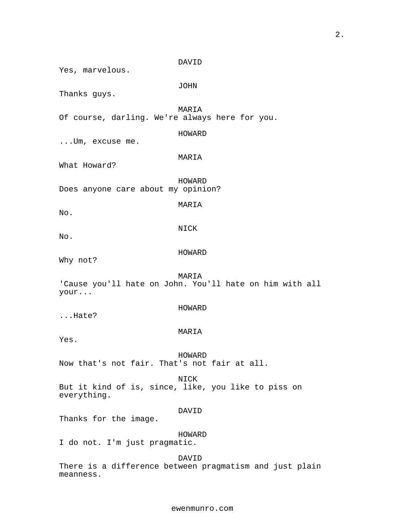DAVID Yes, marvelous. JOHN Thanks guys. MARIA Of course, darling. We're always here for you. HOWARD ...Um, excuse me. MARIA What Howard? HOWARD Does anyone care about my opinion? MARIA No. NICK No. HOWARD Why not? MARIA 'Cause you'll hate on John. You'll hate on him with all your... HOWARD ...Hate? MARIA Yes. HOWARD Now that's not fair. That's not fair at all. NICK But it kind of is, since, like, you like to piss on everything. DAVID Thanks for the image. HOWARD I do not. I'm just pragmatic. DAVID

There is a difference between pragmatism and just plain meanness.

2.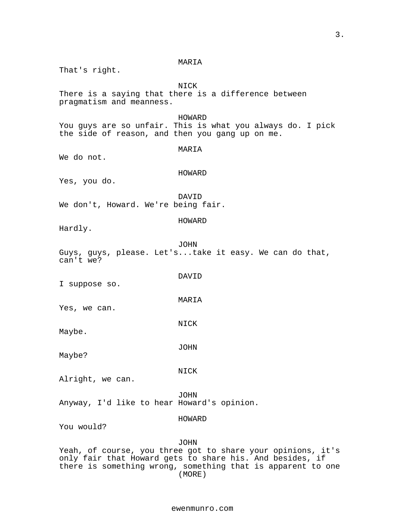MARIA That's right. NICK There is a saying that there is a difference between pragmatism and meanness. HOWARD You guys are so unfair. This is what you always do. I pick the side of reason, and then you gang up on me. MARIA We do not. HOWARD Yes, you do. DAVID We don't, Howard. We're being fair. HOWARD Hardly. JOHN Guys, guys, please. Let's...take it easy. We can do that, can't we? DAVID I suppose so. MARIA Yes, we can. NICK Maybe. JOHN Maybe? NICK Alright, we can. JOHN Anyway, I'd like to hear Howard's opinion. HOWARD You would? JOHN Yeah, of course, you three got to share your opinions, it's only fair that Howard gets to share his. And besides, if there is something wrong, something that is apparent to one (MORE)

#### ewenmunro.com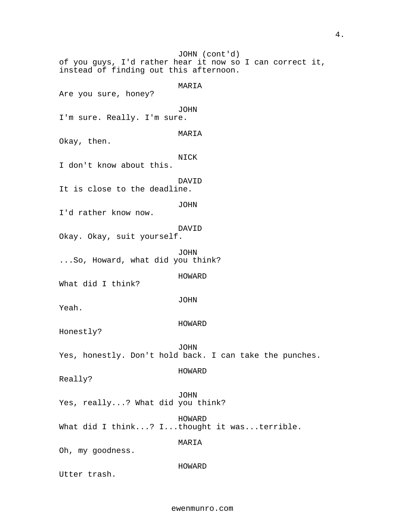of you guys, I'd rather hear it now so I can correct it, JOHN (cont'd) instead of finding out this afternoon. MARIA Are you sure, honey? JOHN I'm sure. Really. I'm sure. MARIA Okay, then. NICK I don't know about this. DAVID It is close to the deadline. JOHN I'd rather know now. DAVID Okay. Okay, suit yourself. JOHN ...So, Howard, what did you think? HOWARD What did I think? JOHN Yeah. HOWARD Honestly? JOHN Yes, honestly. Don't hold back. I can take the punches. HOWARD Really? JOHN Yes, really...? What did you think? HOWARD What did I think...? I...thought it was...terrible. MARIA Oh, my goodness. HOWARD Utter trash.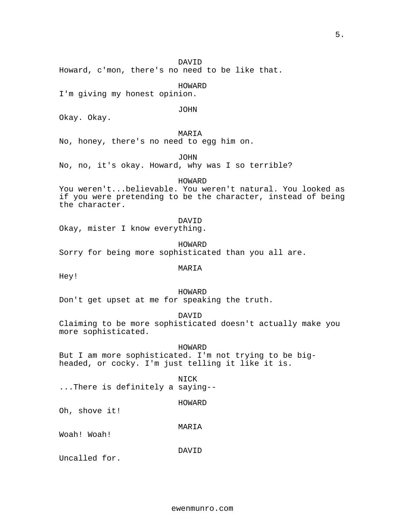## DAVID

Howard, c'mon, there's no need to be like that.

## HOWARD

I'm giving my honest opinion.

JOHN

Okay. Okay.

## MARIA

No, honey, there's no need to egg him on.

JOHN

No, no, it's okay. Howard, why was I so terrible?

## HOWARD

You weren't...believable. You weren't natural. You looked as if you were pretending to be the character, instead of being the character.

DAVID

Okay, mister I know everything.

HOWARD

Sorry for being more sophisticated than you all are.

## MARIA

Hey!

#### HOWARD

Don't get upset at me for speaking the truth.

DAVID

Claiming to be more sophisticated doesn't actually make you more sophisticated.

HOWARD But I am more sophisticated. I'm not trying to be bigheaded, or cocky. I'm just telling it like it is.

NICK

...There is definitely a saying--

HOWARD

Oh, shove it!

MARIA

Woah! Woah!

DAVID

Uncalled for.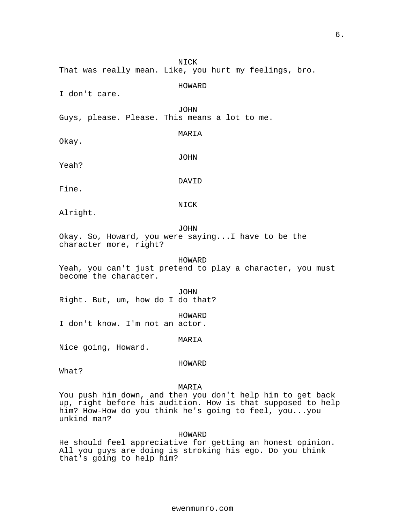NICK That was really mean. Like, you hurt my feelings, bro. HOWARD I don't care. JOHN Guys, please. Please. This means a lot to me. MARIA Okay. JOHN Yeah? DAVID Fine. NICK Alright. JOHN Okay. So, Howard, you were saying...I have to be the character more, right? HOWARD Yeah, you can't just pretend to play a character, you must become the character. JOHN Right. But, um, how do I do that? HOWARD I don't know. I'm not an actor.

MARIA

Nice going, Howard.

HOWARD

What?

MARIA

You push him down, and then you don't help him to get back up, right before his audition. How is that supposed to help him? How-How do you think he's going to feel, you...you unkind man?

HOWARD

He should feel appreciative for getting an honest opinion. All you guys are doing is stroking his ego. Do you think that's going to help him?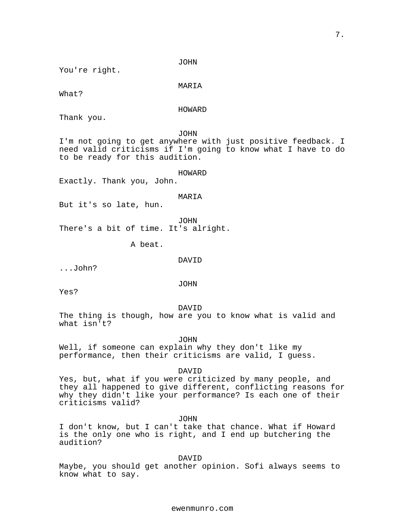JOHN

You're right.

MARIA

What?

HOWARD

Thank you.

JOHN

I'm not going to get anywhere with just positive feedback. I need valid criticisms if I'm going to know what I have to do to be ready for this audition.

HOWARD

Exactly. Thank you, John.

MARIA

But it's so late, hun.

JOHN There's a bit of time. It's alright.

A beat.

DAVID

...John?

JOHN

Yes?

DAVID

The thing is though, how are you to know what is valid and what isn't?

JOHN

Well, if someone can explain why they don't like my performance, then their criticisms are valid, I guess.

DAVID

Yes, but, what if you were criticized by many people, and they all happened to give different, conflicting reasons for why they didn't like your performance? Is each one of their criticisms valid?

JOHN

I don't know, but I can't take that chance. What if Howard is the only one who is right, and I end up butchering the audition?

DAVID

Maybe, you should get another opinion. Sofi always seems to know what to say.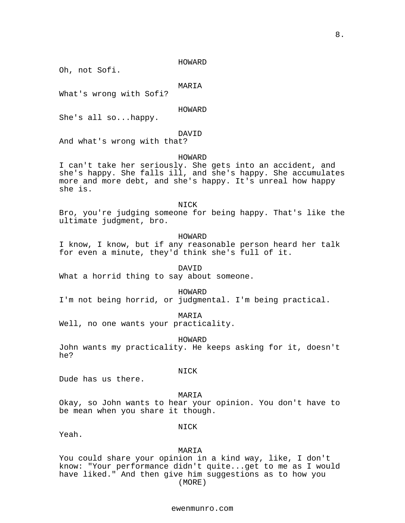HOWARD

Oh, not Sofi.

## MARIA

What's wrong with Sofi?

HOWARD

She's all so...happy.

## DAVID

And what's wrong with that?

## HOWARD

I can't take her seriously. She gets into an accident, and she's happy. She falls ill, and she's happy. She accumulates more and more debt, and she's happy. It's unreal how happy she is.

NICK

Bro, you're judging someone for being happy. That's like the ultimate judgment, bro.

HOWARD

I know, I know, but if any reasonable person heard her talk for even a minute, they'd think she's full of it.

DAVID

What a horrid thing to say about someone.

#### HOWARD

I'm not being horrid, or judgmental. I'm being practical.

MARIA

Well, no one wants your practicality.

HOWARD

John wants my practicality. He keeps asking for it, doesn't he?

NICK

Dude has us there.

## MARIA

Okay, so John wants to hear your opinion. You don't have to be mean when you share it though.

Yeah.

NICK

MARIA

You could share your opinion in a kind way, like, I don't know: "Your performance didn't quite...get to me as I would have liked." And then give him suggestions as to how you (MORE)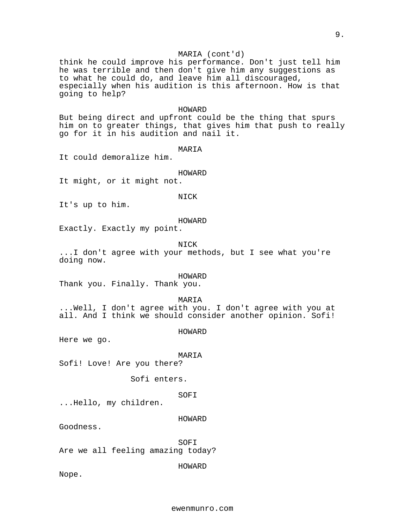## MARIA (cont'd)

think he could improve his performance. Don't just tell him he was terrible and then don't give him any suggestions as to what he could do, and leave him all discouraged, especially when his audition is this afternoon. How is that going to help?

#### HOWARD

But being direct and upfront could be the thing that spurs him on to greater things, that gives him that push to really go for it in his audition and nail it.

#### MARIA

It could demoralize him.

## HOWARD

It might, or it might not.

## NICK

It's up to him.

#### HOWARD

Exactly. Exactly my point.

## NICK

...I don't agree with your methods, but I see what you're doing now.

#### HOWARD

Thank you. Finally. Thank you.

#### MARIA

...Well, I don't agree with you. I don't agree with you at all. And I think we should consider another opinion. Sofi!

## HOWARD

Here we go.

#### MARIA

Sofi! Love! Are you there?

Sofi enters.

#### SOFI

...Hello, my children.

#### HOWARD

Goodness.

#### SOFI

Are we all feeling amazing today?

#### HOWARD

Nope.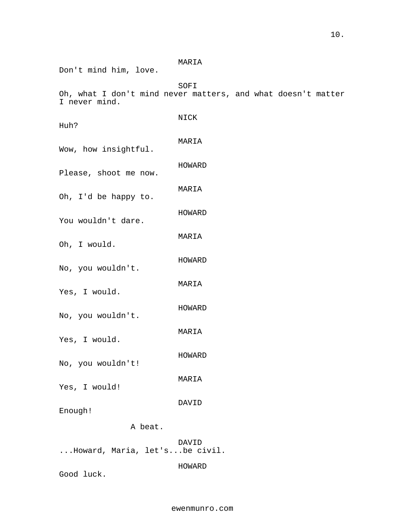## MARIA

Don't mind him, love.

SOFI

Oh, what I don't mind never matters, and what doesn't matter I never mind.

| Huh?                  | NICK   |
|-----------------------|--------|
| Wow, how insightful.  | MARIA  |
| Please, shoot me now. | HOWARD |
| Oh, I'd be happy to.  | MARIA  |
| You wouldn't dare.    | HOWARD |
| Oh, I would.          | MARIA  |
| No, you wouldn't.     | HOWARD |
| Yes, I would.         | MARIA  |
| No, you wouldn't.     | HOWARD |
| Yes, I would.         | MARIA  |
| No, you wouldn't!     | HOWARD |
| Yes, I would!         | MARIA  |
| Enough!               | DAVID  |
| A beat.               |        |

DAVID ...Howard, Maria, let's...be civil.

HOWARD

Good luck.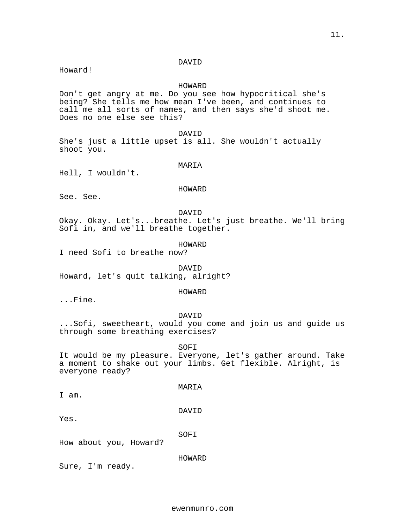#### DAVID

Howard!

## HOWARD

Don't get angry at me. Do you see how hypocritical she's being? She tells me how mean I've been, and continues to call me all sorts of names, and then says she'd shoot me. Does no one else see this?

DAVID

She's just a little upset is all. She wouldn't actually shoot you.

MARIA

Hell, I wouldn't.

#### HOWARD

See. See.

DAVID

Okay. Okay. Let's...breathe. Let's just breathe. We'll bring Sofi in, and we'll breathe together.

HOWARD

I need Sofi to breathe now?

DAVID Howard, let's quit talking, alright?

#### HOWARD

...Fine.

## DAVID

...Sofi, sweetheart, would you come and join us and guide us through some breathing exercises?

SOFI

It would be my pleasure. Everyone, let's gather around. Take a moment to shake out your limbs. Get flexible. Alright, is everyone ready?

I am.

## DAVID

MARIA

Yes.

SOFI

How about you, Howard?

HOWARD

Sure, I'm ready.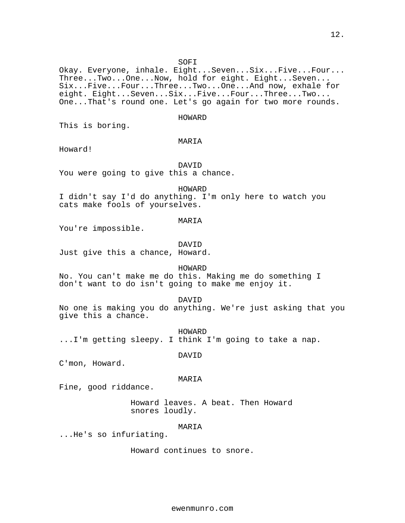SOFI

Okay. Everyone, inhale. Eight...Seven...Six...Five...Four... Three...Two...One...Now, hold for eight. Eight...Seven... Six...Five...Four...Three...Two...One...And now, exhale for eight. Eight...Seven...Six...Five...Four...Three...Two... One...That's round one. Let's go again for two more rounds.

#### HOWARD

This is boring.

## MARIA

Howard!

DAVID You were going to give this a chance.

HOWARD

I didn't say I'd do anything. I'm only here to watch you cats make fools of yourselves.

#### MARIA

You're impossible.

DAVID

Just give this a chance, Howard.

## HOWARD

No. You can't make me do this. Making me do something I don't want to do isn't going to make me enjoy it.

#### DAVID

No one is making you do anything. We're just asking that you give this a chance.

HOWARD ...I'm getting sleepy. I think I'm going to take a nap.

DAVID

C'mon, Howard.

#### MARIA

Fine, good riddance.

Howard leaves. A beat. Then Howard snores loudly.

## MARIA

...He's so infuriating.

Howard continues to snore.

ewenmunro.com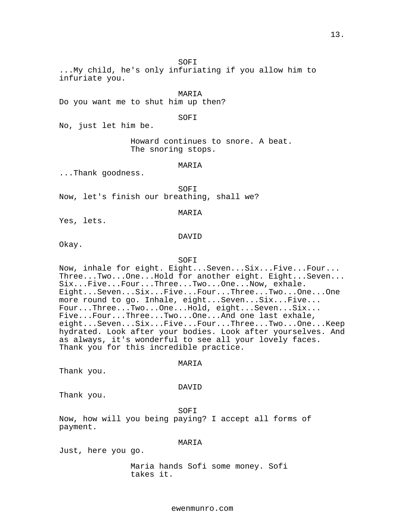SOFI

...My child, he's only infuriating if you allow him to infuriate you.

MARIA

Do you want me to shut him up then?

SOFI

No, just let him be.

Howard continues to snore. A beat. The snoring stops.

#### MARIA

...Thank goodness.

SOFI Now, let's finish our breathing, shall we?

MARIA

Yes, lets.

#### DAVID

Okay.

#### SOFI

Now, inhale for eight. Eight...Seven...Six...Five...Four... Three...Two...One...Hold for another eight. Eight...Seven... Six...Five...Four...Three...Two...One...Now, exhale. Eight...Seven...Six...Five...Four...Three...Two...One...One more round to go. Inhale, eight...Seven...Six...Five... Four...Three...Two...One...Hold, eight...Seven...Six... Five...Four...Three...Two...One...And one last exhale, eight...Seven...Six...Five...Four...Three...Two...One...Keep hydrated. Look after your bodies. Look after yourselves. And as always, it's wonderful to see all your lovely faces. Thank you for this incredible practice.

#### MARIA

Thank you.

#### DAVID

Thank you.

SOFI

Now, how will you being paying? I accept all forms of payment.

## MARIA

Just, here you go.

Maria hands Sofi some money. Sofi takes it.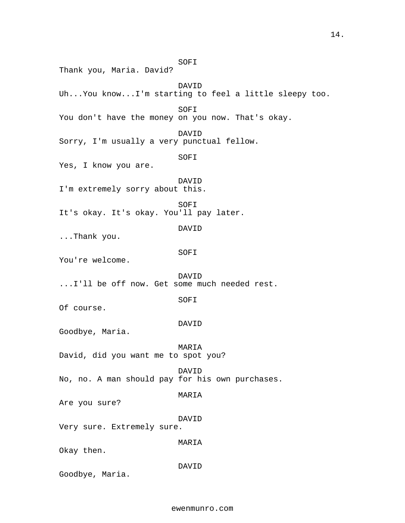SOFI Thank you, Maria. David? DAVID Uh...You know...I'm starting to feel a little sleepy too. SOFI You don't have the money on you now. That's okay. DAVID Sorry, I'm usually a very punctual fellow. SOFI Yes, I know you are. DAVID I'm extremely sorry about this. SOFI It's okay. It's okay. You'll pay later. DAVID ...Thank you. SOFI You're welcome. DAVID ...I'll be off now. Get some much needed rest. SOFI Of course. DAVID Goodbye, Maria. MARIA David, did you want me to spot you? DAVID No, no. A man should pay for his own purchases. MARIA Are you sure? DAVID Very sure. Extremely sure. MARIA Okay then. DAVID Goodbye, Maria.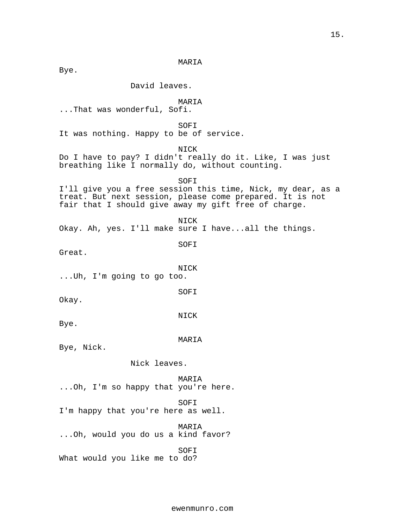MARIA

Bye.

David leaves.

MARIA

...That was wonderful, Sofi.

SOFI

It was nothing. Happy to be of service.

NICK

Do I have to pay? I didn't really do it. Like, I was just breathing like I normally do, without counting.

SOFI I'll give you a free session this time, Nick, my dear, as a treat. But next session, please come prepared. It is not fair that I should give away my gift free of charge.

NICK Okay. Ah, yes. I'll make sure I have...all the things.

SOFI

Great.

NICK

...Uh, I'm going to go too.

SOFI

Okay.

NICK

Bye.

MARIA

Bye, Nick.

Nick leaves.

MARIA ...Oh, I'm so happy that you're here.

SOFI I'm happy that you're here as well.

MARIA ...Oh, would you do us a kind favor?

SOFI What would you like me to do?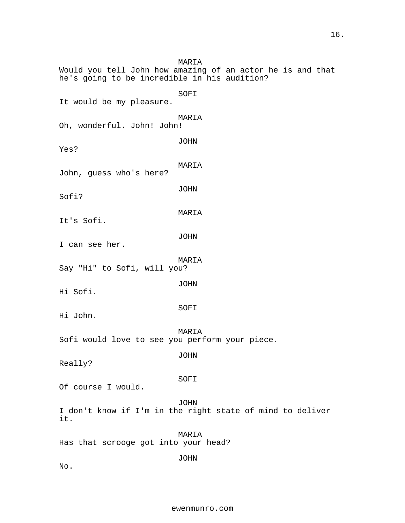MARIA Would you tell John how amazing of an actor he is and that he's going to be incredible in his audition? SOFI It would be my pleasure. MARIA Oh, wonderful. John! John! JOHN Yes? MARIA John, guess who's here? JOHN Sofi? MARIA It's Sofi. JOHN I can see her. MARIA Say "Hi" to Sofi, will you? JOHN Hi Sofi. SOFI Hi John. MARIA Sofi would love to see you perform your piece. JOHN Really? SOFI Of course I would. JOHN I don't know if I'm in the right state of mind to deliver it. MARIA Has that scrooge got into your head? JOHN No.

16.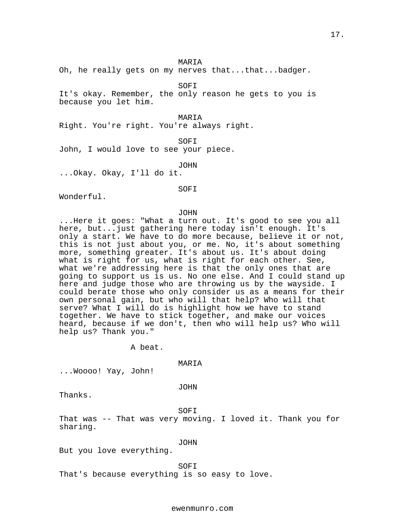#### MARIA

Oh, he really gets on my nerves that...that...badger.

SOFI

It's okay. Remember, the only reason he gets to you is because you let him.

MARIA Right. You're right. You're always right.

SOFI John, I would love to see your piece.

JOHN

...Okay. Okay, I'll do it.

SOFI

Wonderful.

JOHN

...Here it goes: "What a turn out. It's good to see you all here, but...just gathering here today isn't enough. It's only a start. We have to do more because, believe it or not, this is not just about you, or me. No, it's about something more, something greater. It's about us. It's about doing what is right for us, what is right for each other. See, what we're addressing here is that the only ones that are going to support us is us. No one else. And I could stand up here and judge those who are throwing us by the wayside. I could berate those who only consider us as a means for their own personal gain, but who will that help? Who will that serve? What I will do is highlight how we have to stand together. We have to stick together, and make our voices heard, because if we don't, then who will help us? Who will help us? Thank you."

A beat.

MARIA

...Woooo! Yay, John!

JOHN

Thanks.

SOFI

That was -- That was very moving. I loved it. Thank you for sharing.

JOHN

But you love everything.

SOFI

That's because everything is so easy to love.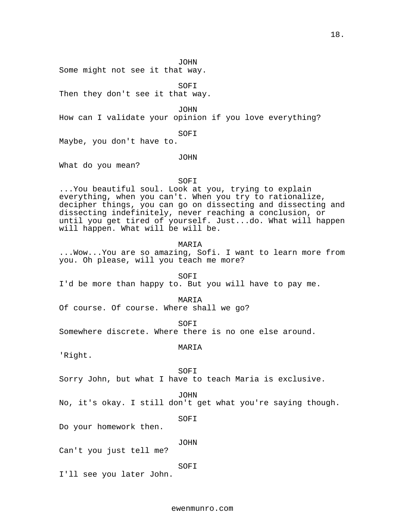18.

JOHN

Some might not see it that way.

SOFI Then they don't see it that way.

JOHN

How can I validate your opinion if you love everything?

SOFI

Maybe, you don't have to.

JOHN

What do you mean?

## SOFI

...You beautiful soul. Look at you, trying to explain everything, when you can't. When you try to rationalize, decipher things, you can go on dissecting and dissecting and dissecting indefinitely, never reaching a conclusion, or until you get tired of yourself. Just...do. What will happen will happen. What will be will be.

## MARIA

...Wow...You are so amazing, Sofi. I want to learn more from you. Oh please, will you teach me more?

SOFI

I'd be more than happy to. But you will have to pay me.

#### MARIA

Of course. Of course. Where shall we go?

SOFI

Somewhere discrete. Where there is no one else around.

MARIA

'Right.

SOFI

Sorry John, but what I have to teach Maria is exclusive.

JOHN

No, it's okay. I still don't get what you're saying though.

SOFI

Do your homework then.

JOHN

Can't you just tell me?

## SOFI

I'll see you later John.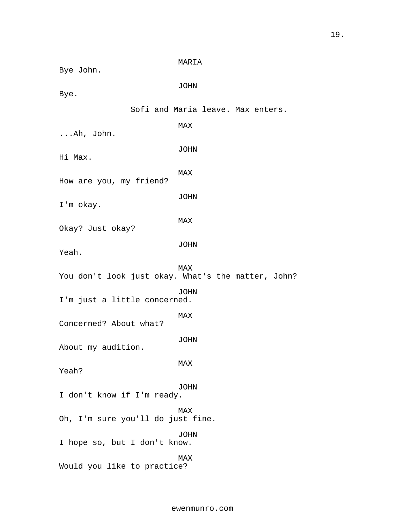MARIA Bye John. JOHN Bye. Sofi and Maria leave. Max enters. MAX ...Ah, John. JOHN Hi Max. MAX How are you, my friend? JOHN I'm okay. MAX Okay? Just okay? JOHN Yeah. MAX You don't look just okay. What's the matter, John? JOHN I'm just a little concerned. MAX Concerned? About what? JOHN About my audition. MAX Yeah? JOHN I don't know if I'm ready. MAX Oh, I'm sure you'll do just fine. JOHN I hope so, but I don't know. MAX Would you like to practice?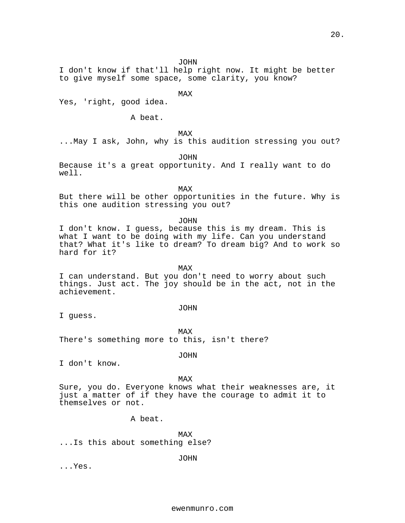JOHN

I don't know if that'll help right now. It might be better to give myself some space, some clarity, you know?

MAX

Yes, 'right, good idea.

A beat.

MAX

...May I ask, John, why is this audition stressing you out?

JOHN

Because it's a great opportunity. And I really want to do well.

MAX

But there will be other opportunities in the future. Why is this one audition stressing you out?

JOHN

I don't know. I guess, because this is my dream. This is what I want to be doing with my life. Can you understand that? What it's like to dream? To dream big? And to work so hard for it?

MAX I can understand. But you don't need to worry about such things. Just act. The joy should be in the act, not in the achievement.

JOHN

I guess.

MAX

There's something more to this, isn't there?

JOHN

I don't know.

MAX

Sure, you do. Everyone knows what their weaknesses are, it just a matter of if they have the courage to admit it to themselves or not.

A beat.

MAX ...Is this about something else?

JOHN

...Yes.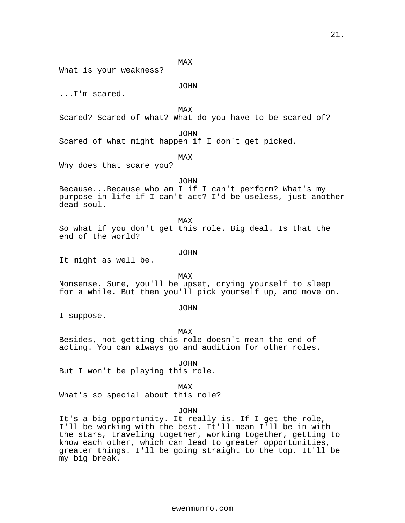MAX

What is your weakness?

## JOHN

...I'm scared.

MAX

Scared? Scared of what? What do you have to be scared of?

## JOHN

Scared of what might happen if I don't get picked.

## MAX

Why does that scare you?

JOHN

Because...Because who am I if I can't perform? What's my purpose in life if I can't act? I'd be useless, just another dead soul.

MAX

So what if you don't get this role. Big deal. Is that the end of the world?

## JOHN

It might as well be.

MAX Nonsense. Sure, you'll be upset, crying yourself to sleep for a while. But then you'll pick yourself up, and move on.

#### JOHN

I suppose.

MAX

Besides, not getting this role doesn't mean the end of acting. You can always go and audition for other roles.

JOHN

But I won't be playing this role.

MAX

What's so special about this role?

#### JOHN

It's a big opportunity. It really is. If I get the role, I'll be working with the best. It'll mean I'll be in with the stars, traveling together, working together, getting to know each other, which can lead to greater opportunities, greater things. I'll be going straight to the top. It'll be my big break.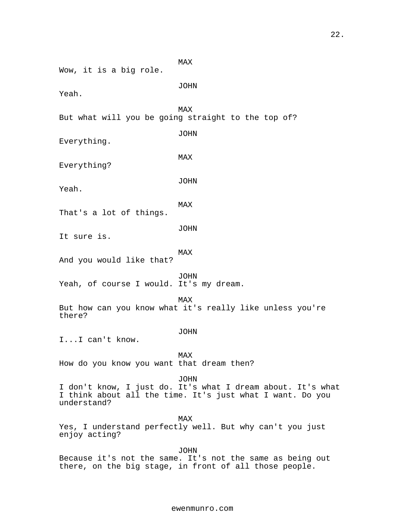MAX Wow, it is a big role. JOHN Yeah. MAX But what will you be going straight to the top of? JOHN Everything. MAX Everything? JOHN Yeah. MAX That's a lot of things. JOHN It sure is. MAX And you would like that? JOHN Yeah, of course I would. It's my dream. MAX But how can you know what it's really like unless you're there? JOHN I...I can't know. MAX How do you know you want that dream then? JOHN I don't know, I just do. It's what I dream about. It's what I think about all the time. It's just what I want. Do you understand? MAX Yes, I understand perfectly well. But why can't you just enjoy acting? JOHN

Because it's not the same. It's not the same as being out there, on the big stage, in front of all those people.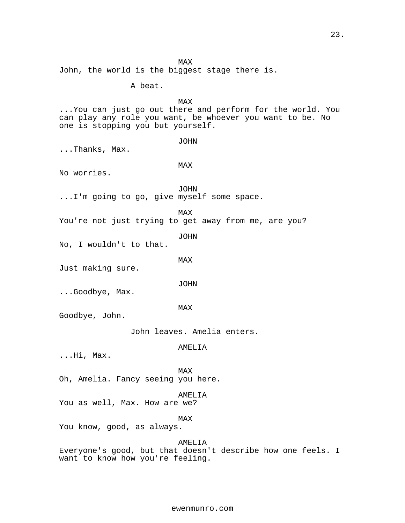MAX John, the world is the biggest stage there is. A beat. MAX ...You can just go out there and perform for the world. You can play any role you want, be whoever you want to be. No one is stopping you but yourself. JOHN ...Thanks, Max. MAX No worries. JOHN ...I'm going to go, give myself some space. MAX You're not just trying to get away from me, are you? JOHN No, I wouldn't to that. MAX Just making sure. JOHN ...Goodbye, Max. MAX Goodbye, John. John leaves. Amelia enters. AMELIA ...Hi, Max. MAX Oh, Amelia. Fancy seeing you here. AMELIA You as well, Max. How are we? MAX You know, good, as always. AMELIA Everyone's good, but that doesn't describe how one feels. I want to know how you're feeling.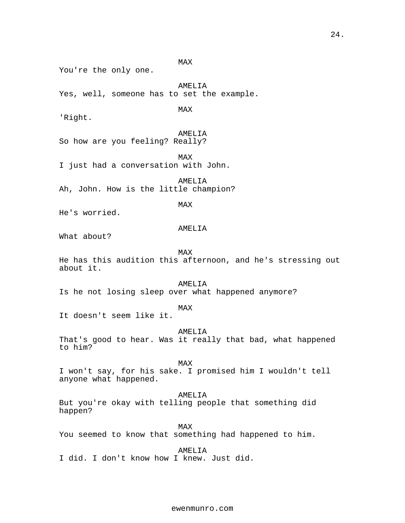MAX You're the only one. AMELIA Yes, well, someone has to set the example. MAX 'Right. AMELIA So how are you feeling? Really? MAX I just had a conversation with John. AMELIA Ah, John. How is the little champion? MAX He's worried. AMELIA What about? MAX He has this audition this afternoon, and he's stressing out about it. AMELIA Is he not losing sleep over what happened anymore? MAX It doesn't seem like it. AMELIA That's good to hear. Was it really that bad, what happened to him? MAX I won't say, for his sake. I promised him I wouldn't tell anyone what happened. AMELIA But you're okay with telling people that something did happen? MAX You seemed to know that something had happened to him. AMELIA I did. I don't know how I knew. Just did.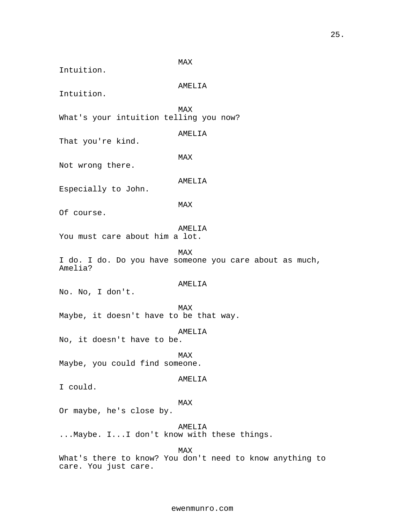MAX Intuition. AMELIA Intuition. MAX What's your intuition telling you now? AMELIA That you're kind. MAX Not wrong there. AMELIA Especially to John. MAX Of course. AMELIA You must care about him a lot. MAX I do. I do. Do you have someone you care about as much, Amelia? AMELIA No. No, I don't. MAX Maybe, it doesn't have to be that way. AMELIA No, it doesn't have to be. MAX Maybe, you could find someone. AMELIA I could. MAX Or maybe, he's close by. AMELIA ...Maybe. I...I don't know with these things. MAX What's there to know? You don't need to know anything to care. You just care.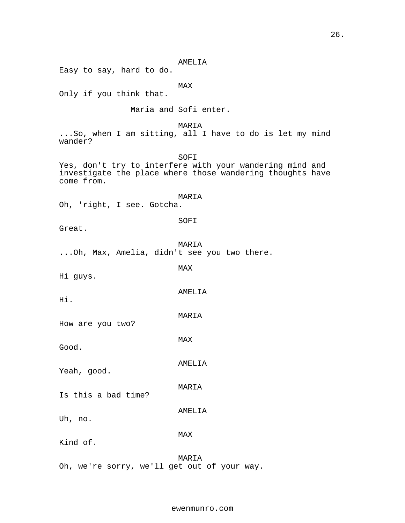AMELIA Easy to say, hard to do. MAX Only if you think that. Maria and Sofi enter. MARIA ...So, when I am sitting, all I have to do is let my mind wander? SOFI Yes, don't try to interfere with your wandering mind and investigate the place where those wandering thoughts have come from. MARIA Oh, 'right, I see. Gotcha. SOFI Great. MARIA ...Oh, Max, Amelia, didn't see you two there. MAX Hi guys. AMELIA Hi. MARIA How are you two? MAX Good. AMELIA Yeah, good. MARIA Is this a bad time? AMELIA Uh, no. MAX Kind of.

MARIA Oh, we're sorry, we'll get out of your way.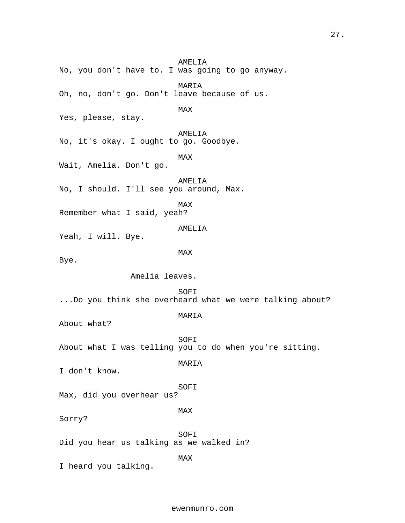AMELIA No, you don't have to. I was going to go anyway. MARIA Oh, no, don't go. Don't leave because of us. MAX Yes, please, stay. AMELIA No, it's okay. I ought to go. Goodbye. MAX Wait, Amelia. Don't go. AMELIA No, I should. I'll see you around, Max. MAX Remember what I said, yeah? AMELIA Yeah, I will. Bye. MAX Bye. Amelia leaves. SOFI ...Do you think she overheard what we were talking about? MARIA About what? SOFI About what I was telling you to do when you're sitting. MARIA I don't know. SOFI Max, did you overhear us? MAX Sorry? SOFI Did you hear us talking as we walked in? MAX I heard you talking.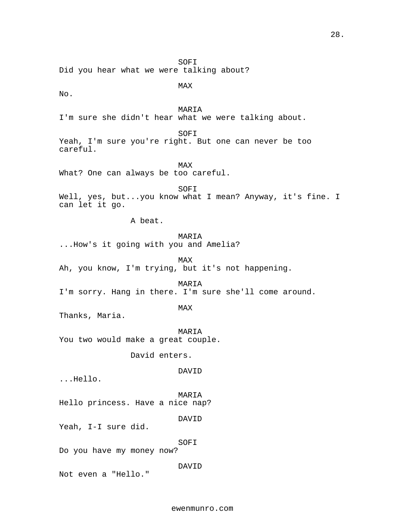SOFI Did you hear what we were talking about?

MAX

No.

MARIA I'm sure she didn't hear what we were talking about.

SOFI

Yeah, I'm sure you're right. But one can never be too careful.

MAX What? One can always be too careful.

SOFI Well, yes, but...you know what I mean? Anyway, it's fine. I can let it go.

A beat.

MARIA

...How's it going with you and Amelia?

MAX Ah, you know, I'm trying, but it's not happening.

MARIA

I'm sorry. Hang in there. I'm sure she'll come around.

MAX

Thanks, Maria.

MARIA You two would make a great couple.

David enters.

DAVID

...Hello.

MARIA Hello princess. Have a nice nap?

DAVID

Yeah, I-I sure did.

SOFI

Do you have my money now?

DAVID

Not even a "Hello."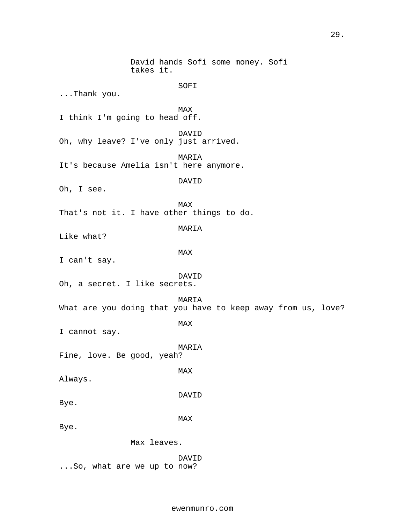David hands Sofi some money. Sofi takes it. SOFI ...Thank you. MAX I think I'm going to head off. DAVID Oh, why leave? I've only just arrived. MARIA It's because Amelia isn't here anymore. DAVID Oh, I see. MAX That's not it. I have other things to do. MARIA Like what? MAX I can't say. DAVID Oh, a secret. I like secrets. MARIA What are you doing that you have to keep away from us, love? MAX I cannot say. MARIA Fine, love. Be good, yeah? MAX Always. DAVID Bye. MAX Bye. Max leaves. DAVID ...So, what are we up to now?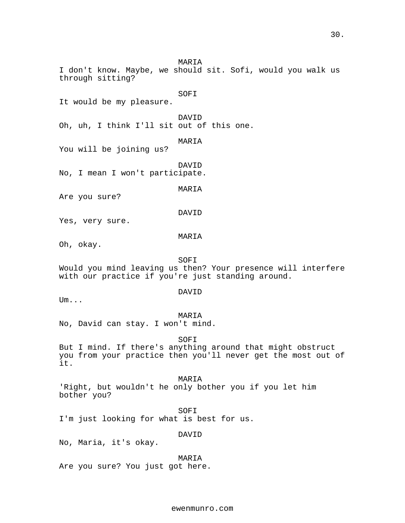30.

DAVID Oh, uh, I think I'll sit out of this one. MARIA You will be joining us? DAVID No, I mean I won't participate. MARIA Are you sure? DAVID Yes, very sure. MARIA Oh, okay. SOFI Would you mind leaving us then? Your presence will interfere with our practice if you're just standing around. DAVID Um... MARIA No, David can stay. I won't mind. SOFI But I mind. If there's anything around that might obstruct you from your practice then you'll never get the most out of it. MARIA 'Right, but wouldn't he only bother you if you let him bother you? SOFI I'm just looking for what is best for us. DAVID No, Maria, it's okay.

MARIA I don't know. Maybe, we should sit. Sofi, would you walk us

SOFI

through sitting?

It would be my pleasure.

MARIA Are you sure? You just got here.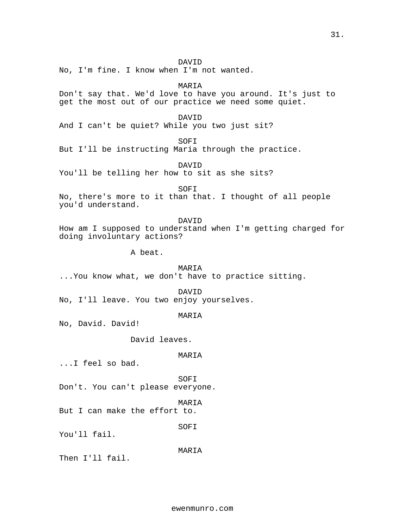## DAVID

No, I'm fine. I know when I'm not wanted.

MARIA

Don't say that. We'd love to have you around. It's just to get the most out of our practice we need some quiet.

#### DAVID

And I can't be quiet? While you two just sit?

SOFI

But I'll be instructing Maria through the practice.

DAVID

You'll be telling her how to sit as she sits?

SOFI

No, there's more to it than that. I thought of all people you'd understand.

DAVID How am I supposed to understand when I'm getting charged for doing involuntary actions?

A beat.

MARIA ...You know what, we don't have to practice sitting.

DAVID

No, I'll leave. You two enjoy yourselves.

MARIA

No, David. David!

David leaves.

## MARIA

...I feel so bad.

SOFI Don't. You can't please everyone.

MARIA But I can make the effort to.

SOFI

You'll fail.

MARIA

Then I'll fail.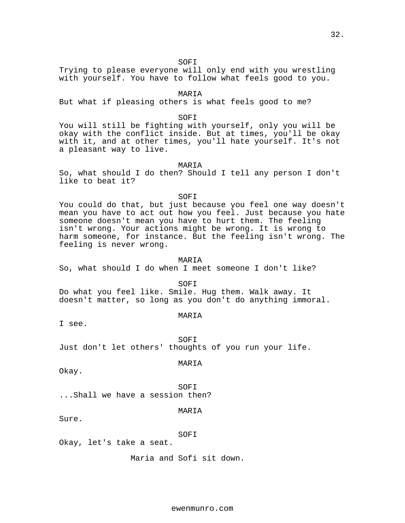SOFI

Trying to please everyone will only end with you wrestling with yourself. You have to follow what feels good to you.

MARIA

But what if pleasing others is what feels good to me?

SOFI

You will still be fighting with yourself, only you will be okay with the conflict inside. But at times, you'll be okay with it, and at other times, you'll hate yourself. It's not a pleasant way to live.

#### MARIA

So, what should I do then? Should I tell any person I don't like to beat it?

SOFI

You could do that, but just because you feel one way doesn't mean you have to act out how you feel. Just because you hate someone doesn't mean you have to hurt them. The feeling isn't wrong. Your actions might be wrong. It is wrong to harm someone, for instance. But the feeling isn't wrong. The feeling is never wrong.

MARIA

So, what should I do when I meet someone I don't like?

SOFI

Do what you feel like. Smile. Hug them. Walk away. It doesn't matter, so long as you don't do anything immoral.

MARIA

I see.

SOFI Just don't let others' thoughts of you run your life.

MARIA

Okay.

SOFI ...Shall we have a session then?

MARIA

Sure.

SOFI

Okay, let's take a seat.

Maria and Sofi sit down.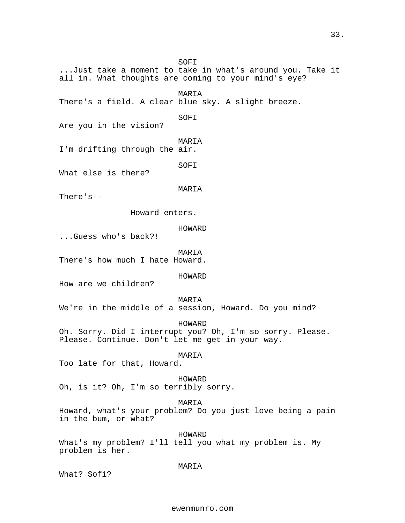SOFI ...Just take a moment to take in what's around you. Take it all in. What thoughts are coming to your mind's eye? MARIA There's a field. A clear blue sky. A slight breeze. SOFI Are you in the vision? MARIA I'm drifting through the air. SOFI What else is there? MARIA There's-- Howard enters. HOWARD ...Guess who's back?! MARIA There's how much I hate Howard. HOWARD How are we children? MARIA We're in the middle of a session, Howard. Do you mind? HOWARD Oh. Sorry. Did I interrupt you? Oh, I'm so sorry. Please. Please. Continue. Don't let me get in your way. MARIA Too late for that, Howard. HOWARD Oh, is it? Oh, I'm so terribly sorry. MARIA Howard, what's your problem? Do you just love being a pain in the bum, or what? HOWARD What's my problem? I'll tell you what my problem is. My problem is her.

MARIA

What? Sofi?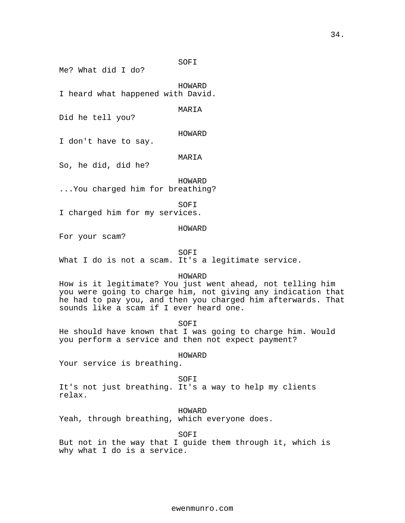SOFI

Me? What did I do?

HOWARD

I heard what happened with David.

MARIA

Did he tell you?

HOWARD

I don't have to say.

MARIA

So, he did, did he?

HOWARD

...You charged him for breathing?

SOFI

I charged him for my services.

HOWARD

For your scam?

SOFI

What I do is not a scam. It's a legitimate service.

HOWARD

How is it legitimate? You just went ahead, not telling him you were going to charge him, not giving any indication that he had to pay you, and then you charged him afterwards. That sounds like a scam if I ever heard one.

SOFI

He should have known that I was going to charge him. Would you perform a service and then not expect payment?

HOWARD

Your service is breathing.

SOFI

It's not just breathing. It's a way to help my clients relax.

HOWARD

Yeah, through breathing, which everyone does.

SOFI

But not in the way that I guide them through it, which is why what I do is a service.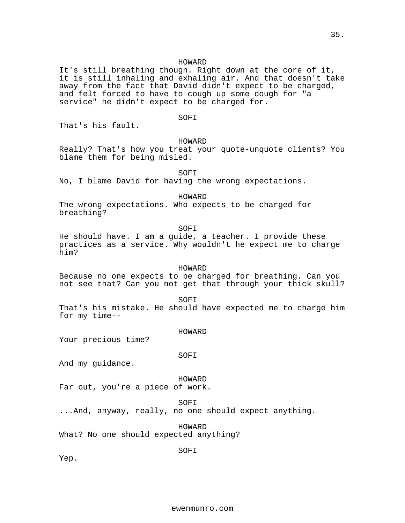## HOWARD

It's still breathing though. Right down at the core of it, it is still inhaling and exhaling air. And that doesn't take away from the fact that David didn't expect to be charged, and felt forced to have to cough up some dough for "a service" he didn't expect to be charged for.

## SOFI

That's his fault.

#### HOWARD

Really? That's how you treat your quote-unquote clients? You blame them for being misled.

SOFI

No, I blame David for having the wrong expectations.

HOWARD

The wrong expectations. Who expects to be charged for breathing?

SOFI

He should have. I am a guide, a teacher. I provide these practices as a service. Why wouldn't he expect me to charge him?

#### HOWARD

Because no one expects to be charged for breathing. Can you not see that? Can you not get that through your thick skull?

SOFI

That's his mistake. He should have expected me to charge him for my time--

#### HOWARD

Your precious time?

## SOFI

And my guidance.

#### HOWARD

Far out, you're a piece of work.

SOFI

...And, anyway, really, no one should expect anything.

HOWARD What? No one should expected anything?

SOFI

Yep.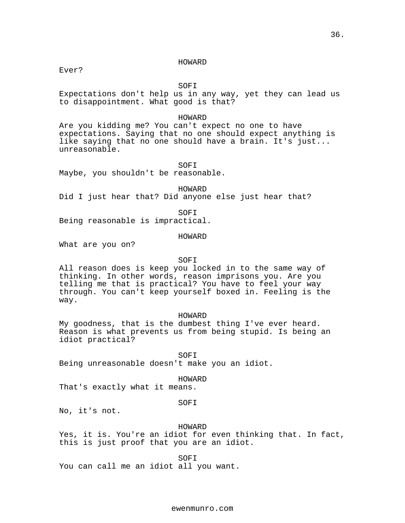#### HOWARD

Ever?

SOFI

Expectations don't help us in any way, yet they can lead us to disappointment. What good is that?

#### HOWARD

Are you kidding me? You can't expect no one to have expectations. Saying that no one should expect anything is like saying that no one should have a brain. It's just... unreasonable.

SOFI

Maybe, you shouldn't be reasonable.

HOWARD

Did I just hear that? Did anyone else just hear that?

SOFI

Being reasonable is impractical.

#### HOWARD

What are you on?

## SOFI

All reason does is keep you locked in to the same way of thinking. In other words, reason imprisons you. Are you telling me that is practical? You have to feel your way through. You can't keep yourself boxed in. Feeling is the way.

## HOWARD

My goodness, that is the dumbest thing I've ever heard. Reason is what prevents us from being stupid. Is being an idiot practical?

SOFI Being unreasonable doesn't make you an idiot.

HOWARD

That's exactly what it means.

## SOFI

No, it's not.

## HOWARD

Yes, it is. You're an idiot for even thinking that. In fact, this is just proof that you are an idiot.

SOFI You can call me an idiot all you want.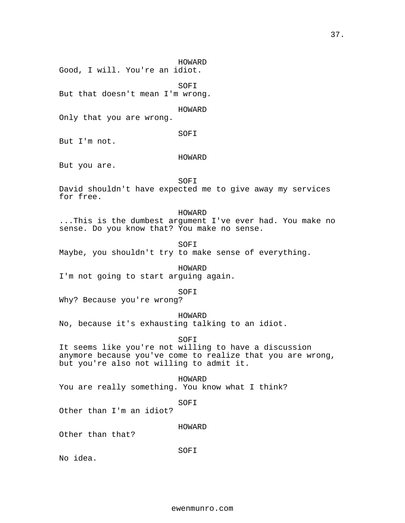HOWARD Good, I will. You're an idiot.

SOFI But that doesn't mean I'm wrong.

HOWARD

Only that you are wrong.

SOFI

But I'm not.

## HOWARD

But you are.

SOFI

David shouldn't have expected me to give away my services for free.

## HOWARD

...This is the dumbest argument I've ever had. You make no sense. Do you know that? You make no sense.

SOFI

Maybe, you shouldn't try to make sense of everything.

HOWARD I'm not going to start arguing again.

SOFI

Why? Because you're wrong?

HOWARD

No, because it's exhausting talking to an idiot.

SOFI

It seems like you're not willing to have a discussion anymore because you've come to realize that you are wrong, but you're also not willing to admit it.

HOWARD You are really something. You know what I think?

SOFI

Other than I'm an idiot?

HOWARD

Other than that?

SOFI

No idea.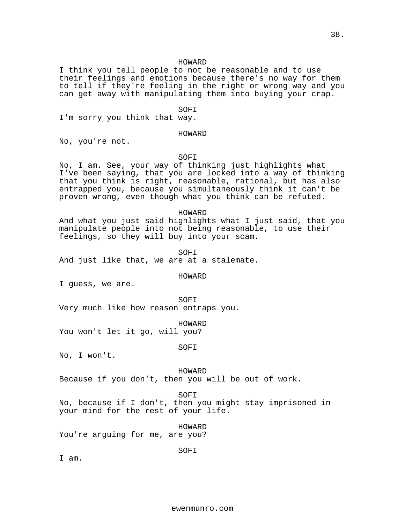#### HOWARD

I think you tell people to not be reasonable and to use their feelings and emotions because there's no way for them to tell if they're feeling in the right or wrong way and you can get away with manipulating them into buying your crap.

#### SOFI

I'm sorry you think that way.

#### HOWARD

No, you're not.

## SOFI

No, I am. See, your way of thinking just highlights what I've been saying, that you are locked into a way of thinking that you think is right, reasonable, rational, but has also entrapped you, because you simultaneously think it can't be proven wrong, even though what you think can be refuted.

#### HOWARD

And what you just said highlights what I just said, that you manipulate people into not being reasonable, to use their feelings, so they will buy into your scam.

#### SOFI

And just like that, we are at a stalemate.

#### HOWARD

I guess, we are.

SOFI

Very much like how reason entraps you.

HOWARD

You won't let it go, will you?

SOFI

No, I won't.

## HOWARD

Because if you don't, then you will be out of work.

## SOFI

SOFI

No, because if I don't, then you might stay imprisoned in your mind for the rest of your life.

HOWARD You're arguing for me, are you?

I am.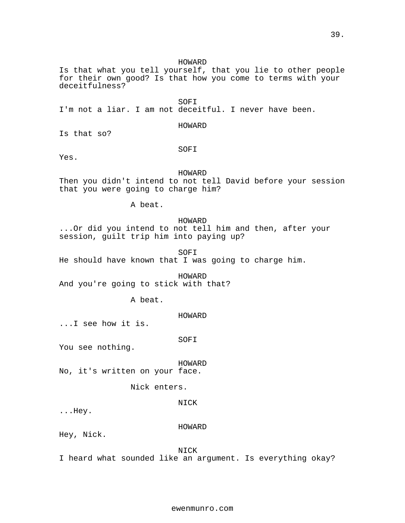## HOWARD

Is that what you tell yourself, that you lie to other people for their own good? Is that how you come to terms with your deceitfulness?

SOFI I'm not a liar. I am not deceitful. I never have been.

## HOWARD

Is that so?

## SOFI

Yes.

## HOWARD

Then you didn't intend to not tell David before your session that you were going to charge him?

A beat.

## HOWARD

...Or did you intend to not tell him and then, after your session, guilt trip him into paying up?

SOFI

He should have known that I was going to charge him.

HOWARD And you're going to stick with that?

A beat.

HOWARD

...I see how it is.

SOFI

You see nothing.

HOWARD

No, it's written on your face.

Nick enters.

## NICK

...Hey.

## HOWARD

Hey, Nick.

NICK

I heard what sounded like an argument. Is everything okay?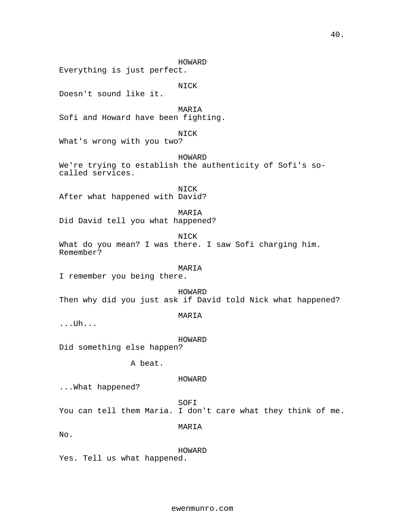HOWARD Everything is just perfect. NICK Doesn't sound like it. MARIA Sofi and Howard have been fighting. NICK What's wrong with you two? HOWARD We're trying to establish the authenticity of Sofi's socalled services. NICK After what happened with David? MARIA Did David tell you what happened? NICK What do you mean? I was there. I saw Sofi charging him. Remember? MARIA I remember you being there. HOWARD Then why did you just ask if David told Nick what happened? MARIA ...Uh... HOWARD Did something else happen? A beat. HOWARD ...What happened? SOFI You can tell them Maria. I don't care what they think of me. MARIA No. HOWARD Yes. Tell us what happened.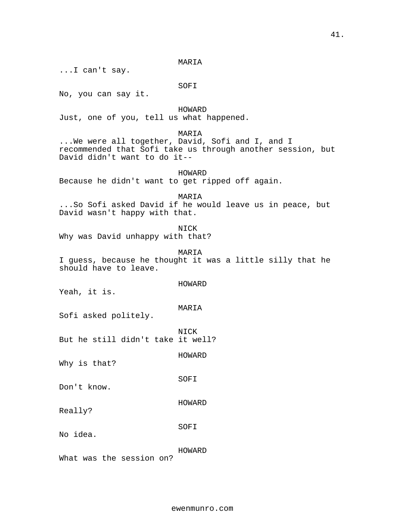MARIA

...I can't say.

SOFI

No, you can say it.

HOWARD Just, one of you, tell us what happened.

MARIA

...We were all together, David, Sofi and I, and I recommended that Sofi take us through another session, but David didn't want to do it--

HOWARD Because he didn't want to get ripped off again.

MARIA ...So Sofi asked David if he would leave us in peace, but David wasn't happy with that.

NICK Why was David unhappy with that?

MARIA I guess, because he thought it was a little silly that he should have to leave.

Yeah, it is.

MARIA

HOWARD

Sofi asked politely.

NICK But he still didn't take it well?

HOWARD

SOFI

Why is that?

Don't know.

Really?

No idea.

HOWARD

SOFI

HOWARD

What was the session on?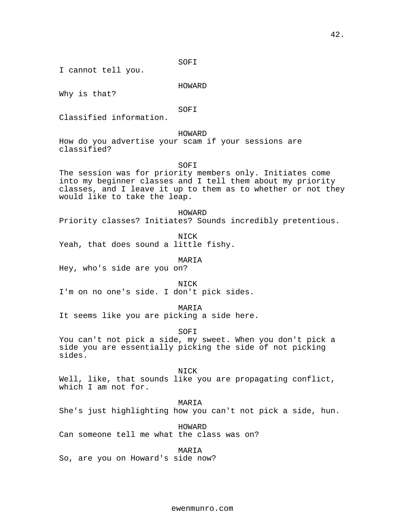SOFI

I cannot tell you.

## HOWARD

Why is that?

SOFI

Classified information.

## HOWARD

How do you advertise your scam if your sessions are classified?

SOFI

The session was for priority members only. Initiates come into my beginner classes and I tell them about my priority classes, and I leave it up to them as to whether or not they would like to take the leap.

HOWARD Priority classes? Initiates? Sounds incredibly pretentious.

NICK Yeah, that does sound a little fishy.

MARIA

Hey, who's side are you on?

NICK

I'm on no one's side. I don't pick sides.

MARIA

It seems like you are picking a side here.

SOFI

You can't not pick a side, my sweet. When you don't pick a side you are essentially picking the side of not picking sides.

NICK

Well, like, that sounds like you are propagating conflict, which I am not for.

MARIA

She's just highlighting how you can't not pick a side, hun.

HOWARD Can someone tell me what the class was on?

MARIA

So, are you on Howard's side now?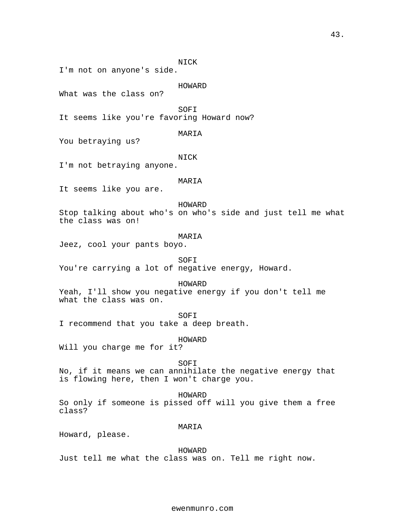NICK

I'm not on anyone's side.

## HOWARD

What was the class on?

SOFI

It seems like you're favoring Howard now?

## MARIA

You betraying us?

## NICK

I'm not betraying anyone.

## MARIA

It seems like you are.

#### HOWARD

Stop talking about who's on who's side and just tell me what the class was on!

#### MARIA

Jeez, cool your pants boyo.

SOFI

You're carrying a lot of negative energy, Howard.

## HOWARD

Yeah, I'll show you negative energy if you don't tell me what the class was on.

## SOFI

I recommend that you take a deep breath.

## HOWARD

Will you charge me for it?

## SOFI

No, if it means we can annihilate the negative energy that is flowing here, then I won't charge you.

#### HOWARD

So only if someone is pissed off will you give them a free class?

## MARIA

Howard, please.

# HOWARD

Just tell me what the class was on. Tell me right now.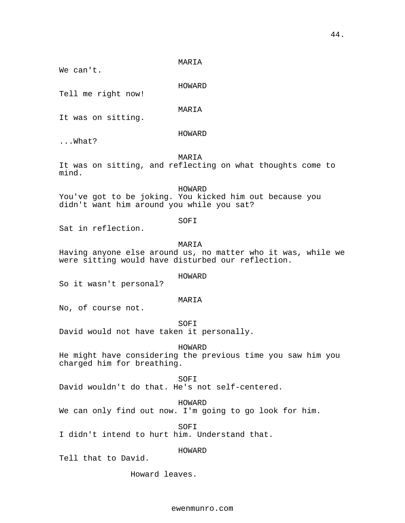MARIA

We can't.

HOWARD

Tell me right now!

MARIA

It was on sitting.

## HOWARD

...What?

## MARIA

It was on sitting, and reflecting on what thoughts come to mind.

HOWARD

You've got to be joking. You kicked him out because you didn't want him around you while you sat?

## SOFI

Sat in reflection.

## MARIA

Having anyone else around us, no matter who it was, while we were sitting would have disturbed our reflection.

## HOWARD

So it wasn't personal?

#### MARIA

No, of course not.

SOFI

David would not have taken it personally.

HOWARD

He might have considering the previous time you saw him you charged him for breathing.

## SOFI

David wouldn't do that. He's not self-centered.

HOWARD

We can only find out now. I'm going to go look for him.

SOFI I didn't intend to hurt him. Understand that.

HOWARD

Tell that to David.

Howard leaves.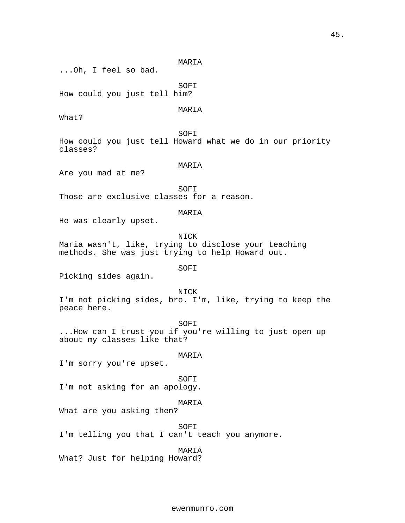45.

MARIA ...Oh, I feel so bad. SOFI How could you just tell him? MARIA What? SOFI How could you just tell Howard what we do in our priority classes? MARIA Are you mad at me? SOFI Those are exclusive classes for a reason. MARIA He was clearly upset. NICK Maria wasn't, like, trying to disclose your teaching methods. She was just trying to help Howard out. SOFI Picking sides again. NICK I'm not picking sides, bro. I'm, like, trying to keep the peace here. SOFI ...How can I trust you if you're willing to just open up about my classes like that? MARIA I'm sorry you're upset. SOFI I'm not asking for an apology. MARIA What are you asking then? SOFI I'm telling you that I can't teach you anymore. MARIA What? Just for helping Howard?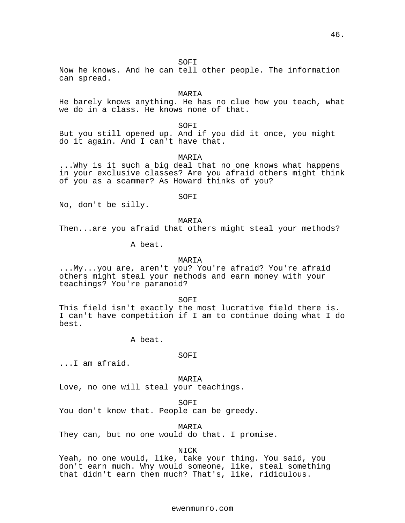SOFI

Now he knows. And he can tell other people. The information can spread.

MARIA

He barely knows anything. He has no clue how you teach, what we do in a class. He knows none of that.

SOFI

But you still opened up. And if you did it once, you might do it again. And I can't have that.

MARIA

...Why is it such a big deal that no one knows what happens in your exclusive classes? Are you afraid others might think of you as a scammer? As Howard thinks of you?

SOFI

No, don't be silly.

MARIA

Then...are you afraid that others might steal your methods?

A beat.

## MARIA

...My...you are, aren't you? You're afraid? You're afraid others might steal your methods and earn money with your teachings? You're paranoid?

SOFI

This field isn't exactly the most lucrative field there is. I can't have competition if I am to continue doing what I do best.

A beat.

## SOFI

...I am afraid.

MARIA Love, no one will steal your teachings.

SOFI

You don't know that. People can be greedy.

MARIA

They can, but no one would do that. I promise.

NICK

Yeah, no one would, like, take your thing. You said, you don't earn much. Why would someone, like, steal something that didn't earn them much? That's, like, ridiculous.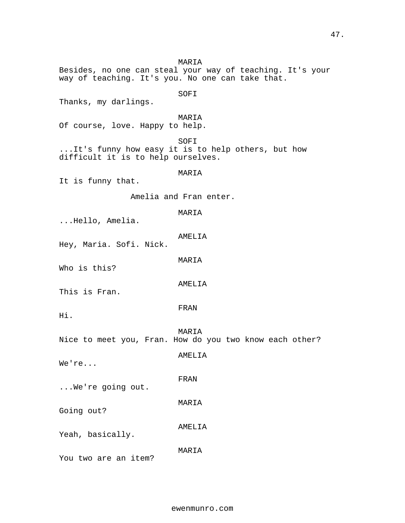MARIA Besides, no one can steal your way of teaching. It's your way of teaching. It's you. No one can take that. SOFI Thanks, my darlings. MARIA Of course, love. Happy to help. SOFI ...It's funny how easy it is to help others, but how difficult it is to help ourselves. MARIA It is funny that. Amelia and Fran enter. MARIA ...Hello, Amelia. AMELIA Hey, Maria. Sofi. Nick. MARIA Who is this? AMELIA This is Fran. FRAN Hi. MARIA Nice to meet you, Fran. How do you two know each other? AMELIA We're... FRAN ...We're going out. MARIA Going out? AMELIA Yeah, basically. MARIA You two are an item?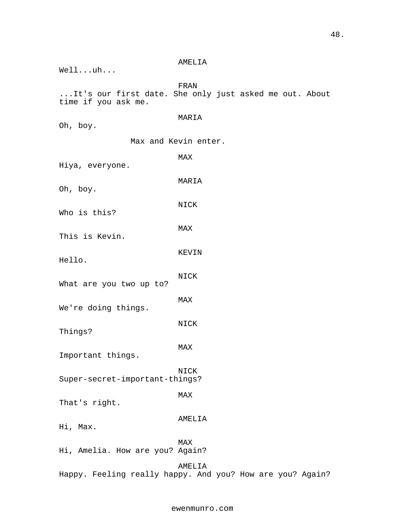|                                                                               | AMELIA |  |  |  |  |  |
|-------------------------------------------------------------------------------|--------|--|--|--|--|--|
| $Well1$ $uh$                                                                  |        |  |  |  |  |  |
|                                                                               | FRAN   |  |  |  |  |  |
| It's our first date. She only just asked me out. About<br>time if you ask me. |        |  |  |  |  |  |
|                                                                               | MARIA  |  |  |  |  |  |
| Oh, boy.                                                                      |        |  |  |  |  |  |
| Max and Kevin enter.                                                          |        |  |  |  |  |  |
| Hiya, everyone.                                                               | MAX    |  |  |  |  |  |
| Oh, boy.                                                                      | MARIA  |  |  |  |  |  |
| Who is this?                                                                  | NICK   |  |  |  |  |  |
|                                                                               | MAX    |  |  |  |  |  |
| This is Kevin.                                                                |        |  |  |  |  |  |
| Hello.                                                                        | KEVIN  |  |  |  |  |  |
|                                                                               | NICK   |  |  |  |  |  |
| What are you two up to?                                                       |        |  |  |  |  |  |
| We're doing things.                                                           | MAX    |  |  |  |  |  |
| Things?                                                                       | NICK   |  |  |  |  |  |
| Important things.                                                             | MAX    |  |  |  |  |  |
| Super-secret-important-things?                                                | NICK   |  |  |  |  |  |
| That's right.                                                                 | MAX    |  |  |  |  |  |
| Hi, Max.                                                                      | AMELIA |  |  |  |  |  |
| Hi, Amelia. How are you? Again?                                               | MAX    |  |  |  |  |  |
| Happy. Feeling really happy. And you? How are you? Again?                     | AMELIA |  |  |  |  |  |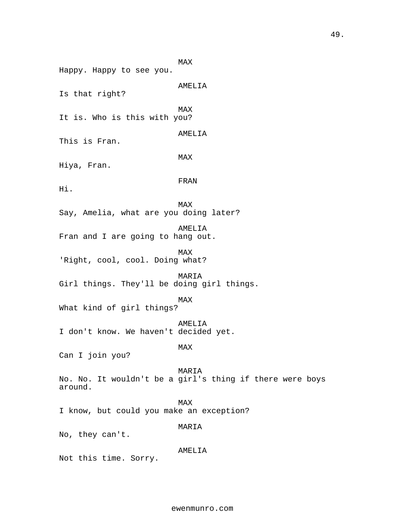MAX Happy. Happy to see you. AMELIA Is that right? MAX It is. Who is this with you? AMELIA This is Fran. MAX Hiya, Fran. FRAN Hi. MAX Say, Amelia, what are you doing later? AMELIA Fran and I are going to hang out. MAX 'Right, cool, cool. Doing what? MARIA Girl things. They'll be doing girl things. MAX What kind of girl things? AMELIA I don't know. We haven't decided yet. MAX Can I join you? MARIA No. No. It wouldn't be a girl's thing if there were boys around. MAX I know, but could you make an exception? MARIA No, they can't. AMELIA Not this time. Sorry.

49.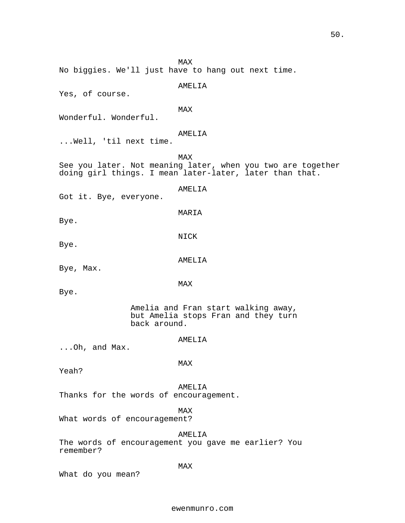MAX No biggies. We'll just have to hang out next time. AMELIA Yes, of course. MAX Wonderful. Wonderful. AMELIA ...Well, 'til next time. MAX See you later. Not meaning later, when you two are together doing girl things. I mean later-later, later than that. AMELIA Got it. Bye, everyone. MARIA Bye. NICK Bye. AMELIA Bye, Max. MAX Bye. Amelia and Fran start walking away, but Amelia stops Fran and they turn back around. AMELIA ...Oh, and Max. MAX Yeah? AMELIA Thanks for the words of encouragement. MAX What words of encouragement? AMELIA The words of encouragement you gave me earlier? You remember? MAX What do you mean? ewenmunro.com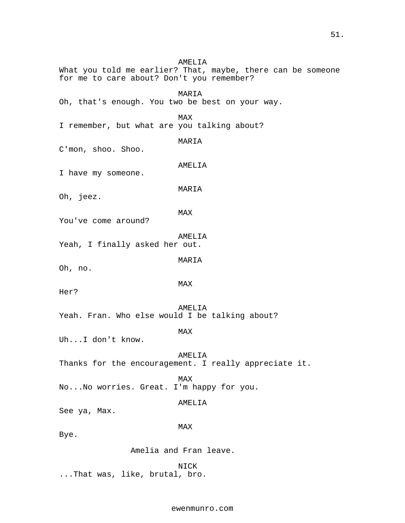AMELIA What you told me earlier? That, maybe, there can be someone for me to care about? Don't you remember? MARIA Oh, that's enough. You two be best on your way. MAX I remember, but what are you talking about? MARIA C'mon, shoo. Shoo. AMELIA I have my someone. MARIA Oh, jeez. MAX You've come around? AMELIA Yeah, I finally asked her out. MARIA Oh, no. MAX Her? AMELIA Yeah. Fran. Who else would I be talking about? MAX Uh...I don't know. AMELIA Thanks for the encouragement. I really appreciate it. MAX No...No worries. Great. I'm happy for you. AMELIA See ya, Max. MAX Bye. Amelia and Fran leave. NICK ...That was, like, brutal, bro.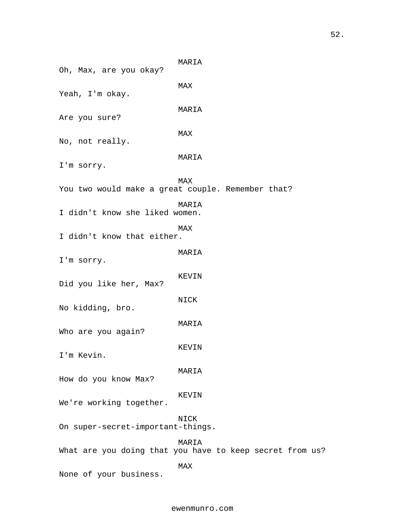MARIA Oh, Max, are you okay? MAX Yeah, I'm okay. MARIA Are you sure? MAX No, not really. MARIA I'm sorry. MAX You two would make a great couple. Remember that? MARIA I didn't know she liked women. MAX I didn't know that either. MARIA I'm sorry. KEVIN Did you like her, Max? NICK No kidding, bro. MARIA Who are you again? KEVIN I'm Kevin. MARIA How do you know Max? KEVIN We're working together. NICK On super-secret-important-things. MARIA What are you doing that you have to keep secret from us? MAX None of your business.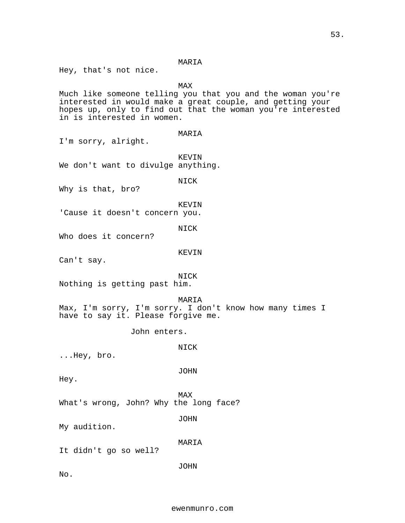## MARIA

Hey, that's not nice.

MAX

Much like someone telling you that you and the woman you're interested in would make a great couple, and getting your hopes up, only to find out that the woman you're interested in is interested in women.

## MARIA

I'm sorry, alright.

KEVIN We don't want to divulge anything.

NICK

Why is that, bro?

KEVIN

'Cause it doesn't concern you.

NICK

Who does it concern?

#### KEVIN

Can't say.

## NICK

Nothing is getting past him.

#### MARIA

Max, I'm sorry, I'm sorry. I don't know how many times I have to say it. Please forgive me.

John enters.

NICK

...Hey, bro.

JOHN

Hey.

MAX

What's wrong, John? Why the long face?

JOHN

My audition.

MARIA

It didn't go so well?

JOHN

No.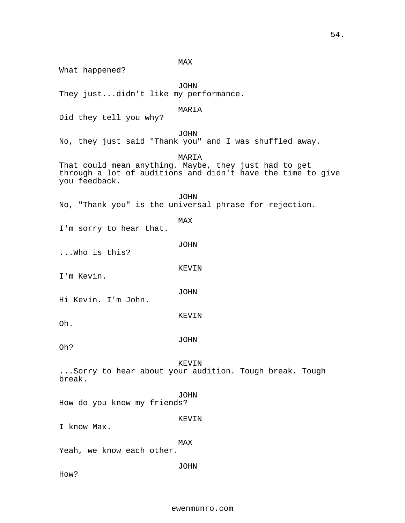54.

MAX What happened? JOHN They just...didn't like my performance. MARIA Did they tell you why? JOHN No, they just said "Thank you" and I was shuffled away. MARIA That could mean anything. Maybe, they just had to get through a lot of auditions and didn't have the time to give you feedback. JOHN No, "Thank you" is the universal phrase for rejection. MAX I'm sorry to hear that. JOHN ...Who is this? KEVIN I'm Kevin. JOHN Hi Kevin. I'm John. KEVIN Oh. JOHN Oh? KEVIN ...Sorry to hear about your audition. Tough break. Tough break. JOHN How do you know my friends? KEVIN I know Max. MAX Yeah, we know each other. JOHN How?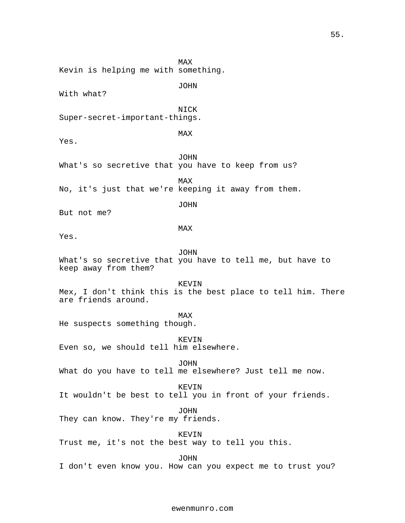MAX Kevin is helping me with something. JOHN With what? NICK Super-secret-important-things. MAX Yes. JOHN What's so secretive that you have to keep from us? MAX No, it's just that we're keeping it away from them. JOHN But not me? MAX Yes. JOHN What's so secretive that you have to tell me, but have to keep away from them? KEVIN Mex, I don't think this is the best place to tell him. There are friends around. MAX He suspects something though. KEVIN Even so, we should tell him elsewhere. JOHN What do you have to tell me elsewhere? Just tell me now. KEVIN It wouldn't be best to tell you in front of your friends. JOHN They can know. They're my friends. KEVIN Trust me, it's not the best way to tell you this. JOHN I don't even know you. How can you expect me to trust you?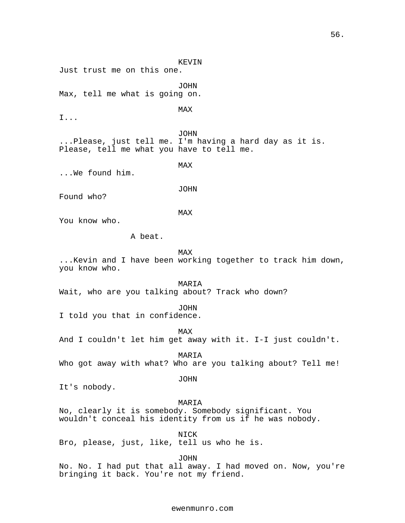Just trust me on this one. JOHN Max, tell me what is going on. MAX JOHN ...Please, just tell me. I'm having a hard day as it is. Please, tell me what you have to tell me. MAX ...We found him. JOHN Found who? MAX You know who. A beat. MAX ...Kevin and I have been working together to track him down, you know who. MARIA Wait, who are you talking about? Track who down? JOHN I told you that in confidence. MAX And I couldn't let him get away with it. I-I just couldn't. MARIA Who got away with what? Who are you talking about? Tell me! JOHN It's nobody.

KEVIN

I...

MARIA No, clearly it is somebody. Somebody significant. You wouldn't conceal his identity from us if he was nobody.

NICK Bro, please, just, like, tell us who he is.

JOHN

No. No. I had put that all away. I had moved on. Now, you're bringing it back. You're not my friend.

## ewenmunro.com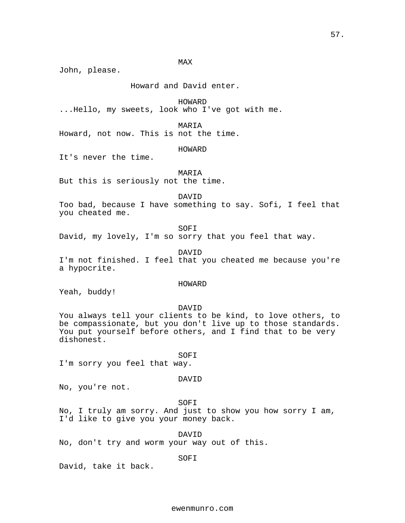MAX

John, please.

Howard and David enter.

HOWARD

...Hello, my sweets, look who I've got with me.

MARIA

Howard, not now. This is not the time.

HOWARD

It's never the time.

MARIA

But this is seriously not the time.

DAVID

Too bad, because I have something to say. Sofi, I feel that you cheated me.

SOFI

David, my lovely, I'm so sorry that you feel that way.

DAVID

I'm not finished. I feel that you cheated me because you're a hypocrite.

## HOWARD

Yeah, buddy!

DAVID

You always tell your clients to be kind, to love others, to be compassionate, but you don't live up to those standards. You put yourself before others, and I find that to be very dishonest.

SOFI I'm sorry you feel that way.

## DAVID

No, you're not.

SOFI

No, I truly am sorry. And just to show you how sorry I am, I'd like to give you your money back.

DAVID No, don't try and worm your way out of this.

SOFI

David, take it back.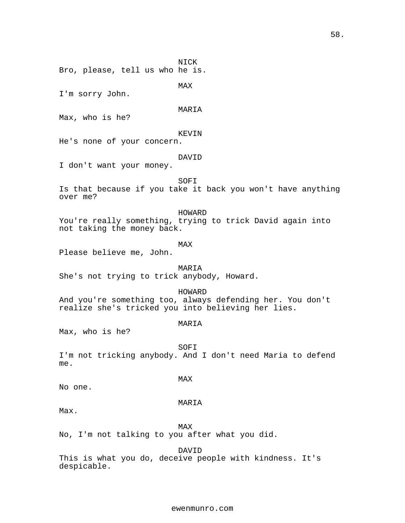MAX I'm sorry John. MARIA Max, who is he? KEVIN He's none of your concern. DAVID I don't want your money. SOFI Is that because if you take it back you won't have anything over me? HOWARD You're really something, trying to trick David again into not taking the money back. MAX Please believe me, John. MARIA She's not trying to trick anybody, Howard. HOWARD And you're something too, always defending her. You don't realize she's tricked you into believing her lies. MARIA Max, who is he? SOFI I'm not tricking anybody. And I don't need Maria to defend

NICK

Bro, please, tell us who he is.

MAX

No one.

#### MARIA

Max.

me.

MAX No, I'm not talking to you after what you did.

DAVID

This is what you do, deceive people with kindness. It's despicable.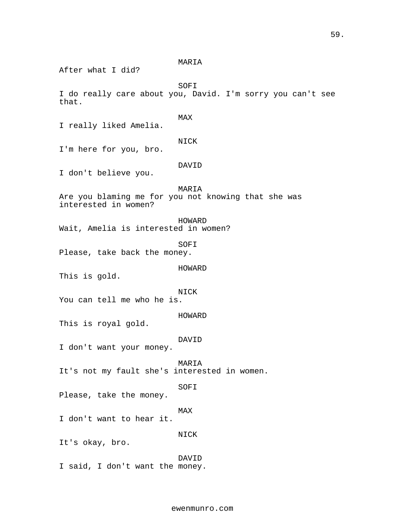MARIA

After what I did?

SOFI

I do really care about you, David. I'm sorry you can't see that.

MAX

I really liked Amelia.

NICK

I'm here for you, bro.

DAVID

I don't believe you.

MARIA

Are you blaming me for you not knowing that she was interested in women?

HOWARD

Wait, Amelia is interested in women?

SOFI

Please, take back the money.

HOWARD

This is gold.

NICK

You can tell me who he is.

HOWARD

This is royal gold.

DAVID

I don't want your money.

MARIA

It's not my fault she's interested in women.

SOFI

Please, take the money.

MAX

NICK

I don't want to hear it.

It's okay, bro.

DAVID I said, I don't want the money.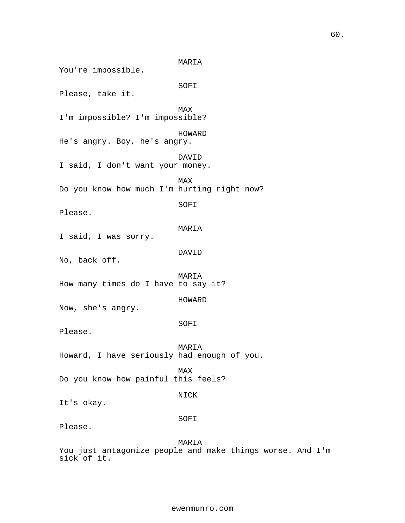MARIA You're impossible. SOFI Please, take it. MAX I'm impossible? I'm impossible? HOWARD He's angry. Boy, he's angry. DAVID I said, I don't want your money. MAX Do you know how much I'm hurting right now? SOFI Please. MARIA I said, I was sorry. DAVID No, back off. MARIA How many times do I have to say it? HOWARD Now, she's angry. SOFI Please. MARIA Howard, I have seriously had enough of you. MAX Do you know how painful this feels? NICK It's okay. SOFI Please. MARIA

You just antagonize people and make things worse. And I'm sick of it.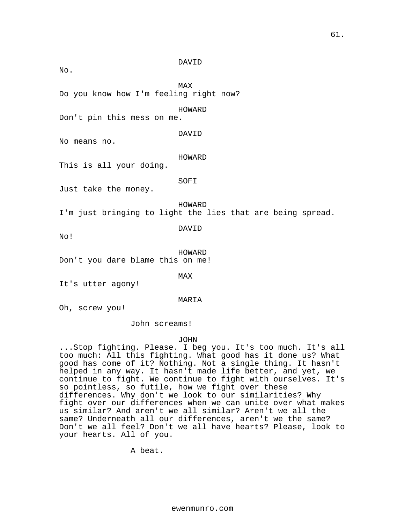DAVID

No.

MAX

Do you know how I'm feeling right now?

HOWARD

Don't pin this mess on me.

DAVID

No means no.

HOWARD

This is all your doing.

SOFI

Just take the money.

HOWARD

I'm just bringing to light the lies that are being spread.

DAVID

No!

HOWARD Don't you dare blame this on me!

MAX

It's utter agony!

MARIA

Oh, screw you!

John screams!

JOHN

...Stop fighting. Please. I beg you. It's too much. It's all too much: All this fighting. What good has it done us? What good has come of it? Nothing. Not a single thing. It hasn't helped in any way. It hasn't made life better, and yet, we continue to fight. We continue to fight with ourselves. It's so pointless, so futile, how we fight over these differences. Why don't we look to our similarities? Why fight over our differences when we can unite over what makes us similar? And aren't we all similar? Aren't we all the same? Underneath all our differences, aren't we the same? Don't we all feel? Don't we all have hearts? Please, look to your hearts. All of you.

A beat.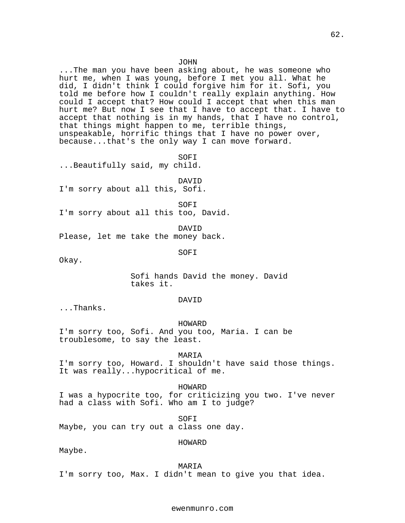#### JOHN

...The man you have been asking about, he was someone who hurt me, when I was young, before I met you all. What he did, I didn't think I could forgive him for it. Sofi, you told me before how I couldn't really explain anything. How could I accept that? How could I accept that when this man hurt me? But now I see that I have to accept that. I have to accept that nothing is in my hands, that I have no control, that things might happen to me, terrible things, unspeakable, horrific things that I have no power over, because...that's the only way I can move forward.

SOFI ...Beautifully said, my child.

DAVID

I'm sorry about all this, Sofi.

SOFI I'm sorry about all this too, David.

DAVID Please, let me take the money back.

SOFI

Okay.

Sofi hands David the money. David takes it.

#### DAVID

...Thanks.

HOWARD I'm sorry too, Sofi. And you too, Maria. I can be troublesome, to say the least.

MARIA I'm sorry too, Howard. I shouldn't have said those things. It was really...hypocritical of me.

HOWARD I was a hypocrite too, for criticizing you two. I've never had a class with Sofi. Who am I to judge?

SOFI

Maybe, you can try out a class one day.

## HOWARD

Maybe.

MARIA

I'm sorry too, Max. I didn't mean to give you that idea.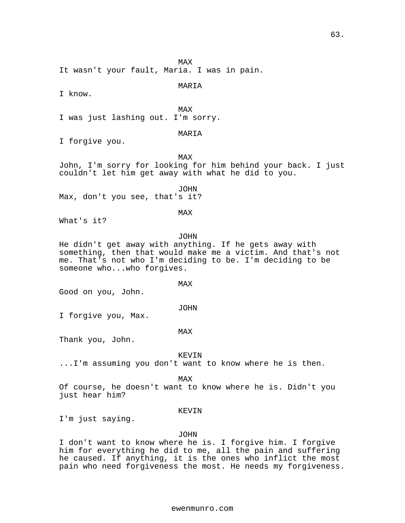MAX

It wasn't your fault, Maria. I was in pain.

## MARIA

I know.

MAX

I was just lashing out. I'm sorry.

## MARIA

I forgive you.

MAX

John, I'm sorry for looking for him behind your back. I just couldn't let him get away with what he did to you.

JOHN

Max, don't you see, that's it?

## MAX

What's it?

## JOHN

He didn't get away with anything. If he gets away with something, then that would make me a victim. And that's not me. That's not who I'm deciding to be. I'm deciding to be someone who...who forgives.

MAX

Good on you, John.

## JOHN

I forgive you, Max.

## MAX

Thank you, John.

## KEVIN

...I'm assuming you don't want to know where he is then.

MAX

Of course, he doesn't want to know where he is. Didn't you just hear him?

## KEVIN

I'm just saying.

## JOHN

I don't want to know where he is. I forgive him. I forgive him for everything he did to me, all the pain and suffering he caused. If anything, it is the ones who inflict the most pain who need forgiveness the most. He needs my forgiveness.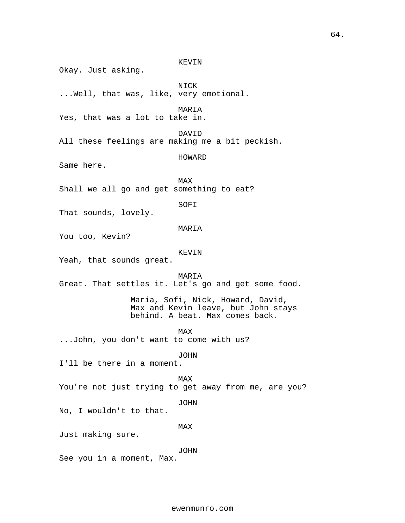KEVIN Okay. Just asking. NICK ...Well, that was, like, very emotional. MARIA Yes, that was a lot to take in. DAVID All these feelings are making me a bit peckish. HOWARD Same here. MAX Shall we all go and get something to eat? SOFI That sounds, lovely. MARIA You too, Kevin? KEVIN Yeah, that sounds great. MARIA Great. That settles it. Let's go and get some food. Maria, Sofi, Nick, Howard, David, Max and Kevin leave, but John stays behind. A beat. Max comes back. MAX ...John, you don't want to come with us? JOHN I'll be there in a moment. MAX You're not just trying to get away from me, are you? JOHN No, I wouldn't to that. MAX Just making sure. JOHN See you in a moment, Max.